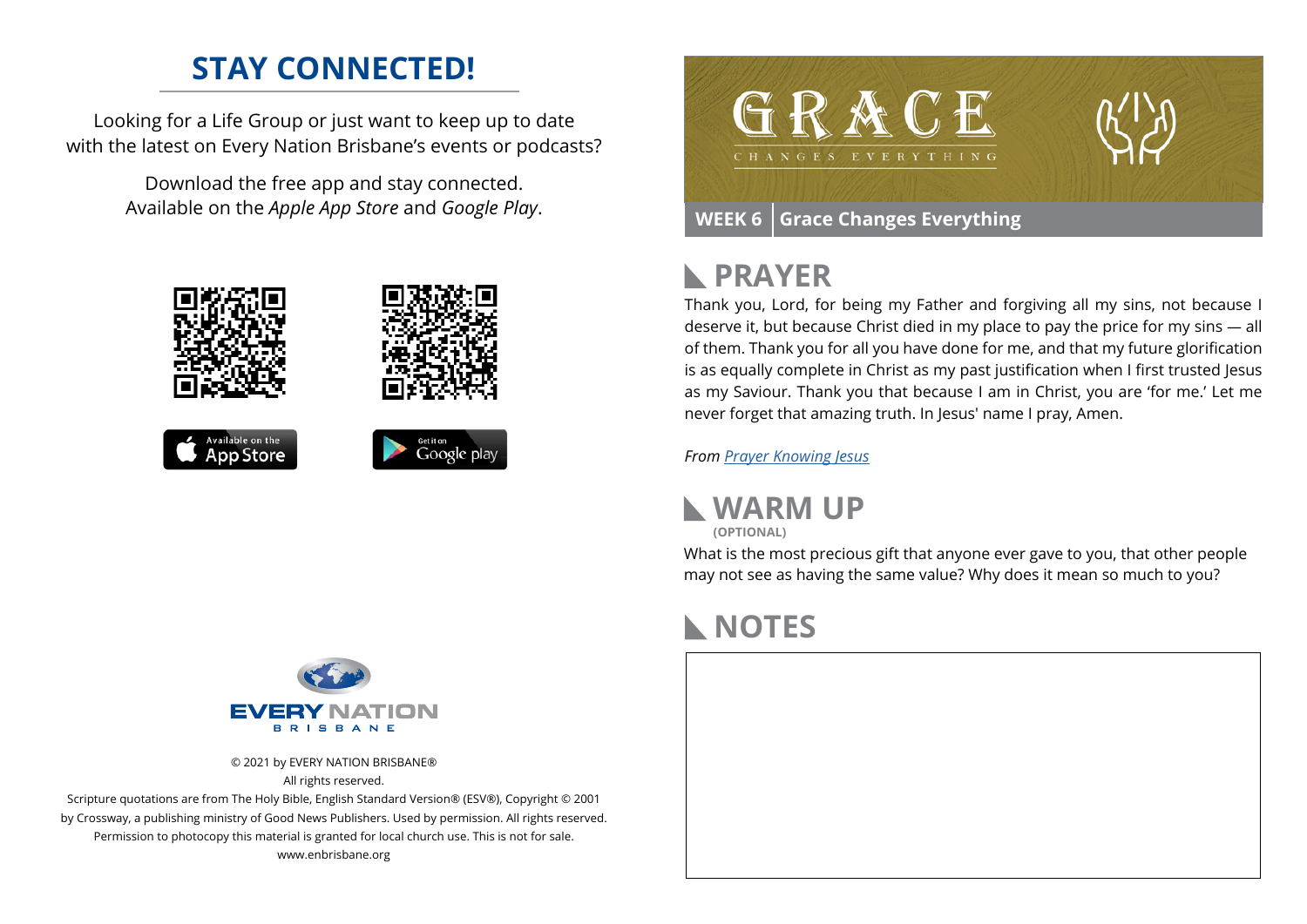## **STAY CONNECTED!**

Looking for a Life Group or just want to keep up to date with the latest on Every Nation Brisbane's events or podcasts?

> Download the free app and stay connected. Available on the *Apple App Store* and *Google Play*.





## **PRAYER**

Thank you, Lord, for being my Father and forgiving all my sins, not because I deserve it, but because Christ died in my place to pay the price for my sins — all of them. Thank you for all you have done for me, and that my future glorification is as equally complete in Christ as my past justification when I first trusted Jesus as my Saviour. Thank you that because I am in Christ, you are 'for me.' Let me never forget that amazing truth. In Jesus' name I pray, Amen.

*From [Prayer](https://prayer.knowing-jesus.com/Romans/6) Knowing Jesus*



What is the most precious gift that anyone ever gave to you, that other people may not see as having the same value? Why does it mean so much to you?

## **NOTES**





© 2021 by EVERY NATION BRISBANE® All rights reserved.

Scripture quotations are from The Holy Bible, English Standard Version® (ESV®), Copyright © 2001 by Crossway, a publishing ministry of Good News Publishers. Used by permission. All rights reserved. Permission to photocopy this material is granted for local church use. This is not for sale. www.enbrisbane.org